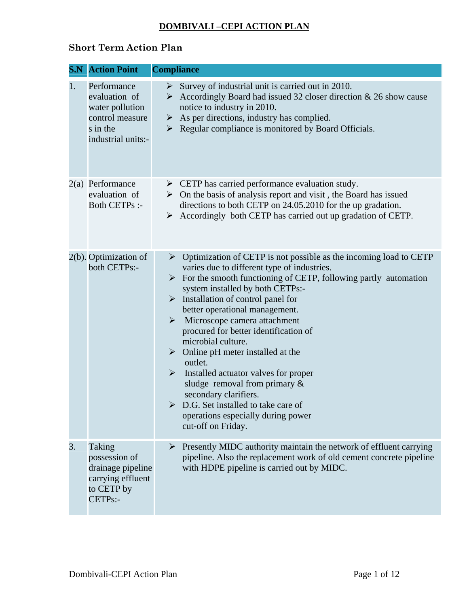## **DOMBIVALI –CEPI ACTION PLAN**

## **Short Term Action Plan**

|    | <b>S.N</b> Action Point                                                                              | <b>Compliance</b>                                                                                                                                                                                                                                                                                                                                                                                                                                                                                                                                                                                                                                                                                                                                  |
|----|------------------------------------------------------------------------------------------------------|----------------------------------------------------------------------------------------------------------------------------------------------------------------------------------------------------------------------------------------------------------------------------------------------------------------------------------------------------------------------------------------------------------------------------------------------------------------------------------------------------------------------------------------------------------------------------------------------------------------------------------------------------------------------------------------------------------------------------------------------------|
| 1. | Performance<br>evaluation of<br>water pollution<br>control measure<br>s in the<br>industrial units:- | Survey of industrial unit is carried out in 2010.<br>➤<br>Accordingly Board had issued 32 closer direction $& 26$ show cause<br>➤<br>notice to industry in 2010.<br>As per directions, industry has complied.<br>➤<br>Regular compliance is monitored by Board Officials.<br>➤                                                                                                                                                                                                                                                                                                                                                                                                                                                                     |
|    | 2(a) Performance<br>evaluation of<br><b>Both CETPs:-</b>                                             | $\triangleright$ CETP has carried performance evaluation study.<br>$\triangleright$ On the basis of analysis report and visit, the Board has issued<br>directions to both CETP on 24.05.2010 for the up gradation.<br>Accordingly both CETP has carried out up gradation of CETP.<br>➤                                                                                                                                                                                                                                                                                                                                                                                                                                                             |
|    | 2(b). Optimization of<br>both CETPs:-                                                                | Optimization of CETP is not possible as the incoming load to CETP<br>➤<br>varies due to different type of industries.<br>$\triangleright$ For the smooth functioning of CETP, following partly automation<br>system installed by both CETPs:-<br>$\triangleright$ Installation of control panel for<br>better operational management.<br>$\triangleright$ Microscope camera attachment<br>procured for better identification of<br>microbial culture.<br>$\triangleright$ Online pH meter installed at the<br>outlet.<br>Installed actuator valves for proper<br>➤<br>sludge removal from primary $\&$<br>secondary clarifiers.<br>$\triangleright$ D.G. Set installed to take care of<br>operations especially during power<br>cut-off on Friday. |
| 3. | Taking<br>possession of<br>drainage pipeline<br>carrying effluent<br>to CETP by<br>CETPs:-           | Presently MIDC authority maintain the network of effluent carrying<br>➤<br>pipeline. Also the replacement work of old cement concrete pipeline<br>with HDPE pipeline is carried out by MIDC.                                                                                                                                                                                                                                                                                                                                                                                                                                                                                                                                                       |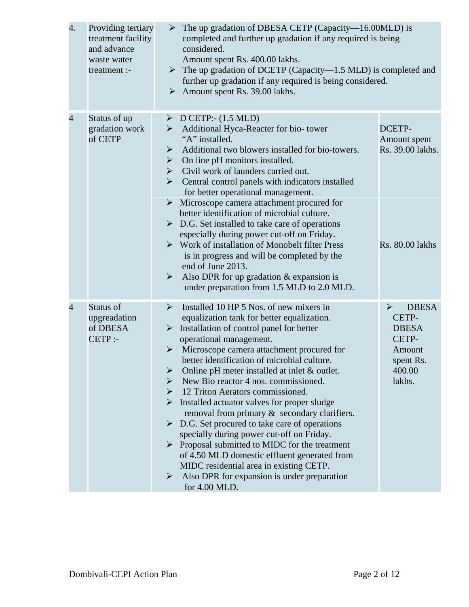| 4.             | Providing tertiary<br>treatment facility<br>and advance<br>waste water<br>treatment :- | The up gradation of DBESA CETP (Capacity-16.00MLD) is<br>➤<br>completed and further up gradation if any required is being<br>considered.<br>Amount spent Rs. 400.00 lakhs.<br>$\triangleright$ The up gradation of DCETP (Capacity-1.5 MLD) is completed and<br>further up gradation if any required is being considered.<br>$\triangleright$ Amount spent Rs. 39.00 lakhs.                                                                                                                                                                                                                                                                                                                                                                                                                                                                                                           |                                                                                                                    |
|----------------|----------------------------------------------------------------------------------------|---------------------------------------------------------------------------------------------------------------------------------------------------------------------------------------------------------------------------------------------------------------------------------------------------------------------------------------------------------------------------------------------------------------------------------------------------------------------------------------------------------------------------------------------------------------------------------------------------------------------------------------------------------------------------------------------------------------------------------------------------------------------------------------------------------------------------------------------------------------------------------------|--------------------------------------------------------------------------------------------------------------------|
| 4              | Status of up<br>gradation work<br>of CETP                                              | $\triangleright$ D CETP:- (1.5 MLD)<br>Additional Hyca-Reacter for bio- tower<br>➤<br>"A" installed.<br>Additional two blowers installed for bio-towers.<br>➤<br>On line pH monitors installed.<br>➤<br>Civil work of launders carried out.<br>➤<br>Central control panels with indicators installed<br>➤<br>for better operational management.<br>$\triangleright$ Microscope camera attachment procured for<br>better identification of microbial culture.<br>$\triangleright$ D.G. Set installed to take care of operations<br>especially during power cut-off on Friday.<br>$\triangleright$ Work of installation of Monobelt filter Press<br>is in progress and will be completed by the<br>end of June 2013.<br>Also DPR for up gradation $&$ expansion is<br>$\blacktriangleright$<br>under preparation from 1.5 MLD to 2.0 MLD.                                               | DCETP-<br>Amount spent<br>Rs. 39.00 lakhs.<br><b>Rs. 80.00 lakhs</b>                                               |
| $\overline{4}$ | Status of<br>upgreadation<br>of DBESA<br>$CETP$ :-                                     | Installed 10 HP 5 Nos. of new mixers in<br>➤<br>equalization tank for better equalization.<br>Installation of control panel for better<br>➤<br>operational management.<br>Microscope camera attachment procured for<br>$\blacktriangleright$<br>better identification of microbial culture.<br>Online pH meter installed at inlet & outlet.<br>➤<br>New Bio reactor 4 nos. commissioned.<br>➤<br>12 Triton Aerators commissioned.<br>➤<br>Installed actuator valves for proper sludge<br>➤<br>removal from primary & secondary clarifiers.<br>D.G. Set procured to take care of operations<br>$\blacktriangleright$<br>specially during power cut-off on Friday.<br>Proposal submitted to MIDC for the treatment<br>➤<br>of 4.50 MLD domestic effluent generated from<br>MIDC residential area in existing CETP.<br>Also DPR for expansion is under preparation<br>➤<br>for 4.00 MLD. | <b>DBESA</b><br>$\blacktriangleright$<br>CETP-<br><b>DBESA</b><br>CETP-<br>Amount<br>spent Rs.<br>400.00<br>lakhs. |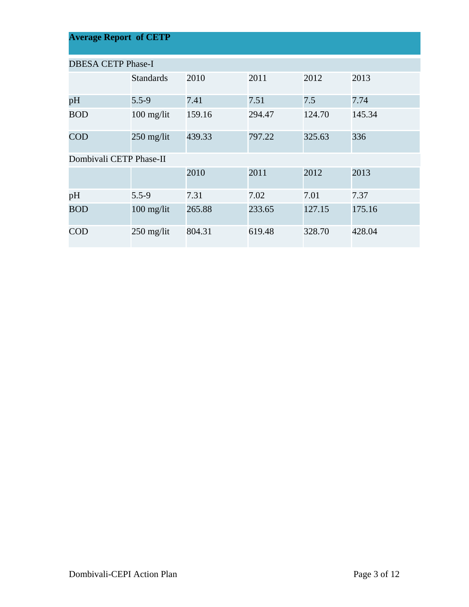| <b>Average Report of CETP</b> |                  |        |        |        |        |  |  |  |
|-------------------------------|------------------|--------|--------|--------|--------|--|--|--|
| <b>DBESA CETP Phase-I</b>     |                  |        |        |        |        |  |  |  |
|                               | <b>Standards</b> | 2010   | 2011   | 2012   | 2013   |  |  |  |
| pH                            | $5.5 - 9$        | 7.41   | 7.51   | 7.5    | 7.74   |  |  |  |
| <b>BOD</b>                    | $100$ mg/lit     | 159.16 | 294.47 | 124.70 | 145.34 |  |  |  |
| <b>COD</b>                    | $250$ mg/lit     | 439.33 | 797.22 | 325.63 | 336    |  |  |  |
| Dombivali CETP Phase-II       |                  |        |        |        |        |  |  |  |
|                               |                  | 2010   | 2011   | 2012   | 2013   |  |  |  |
| pH                            | $5.5 - 9$        | 7.31   | 7.02   | 7.01   | 7.37   |  |  |  |
| <b>BOD</b>                    | $100$ mg/lit     | 265.88 | 233.65 | 127.15 | 175.16 |  |  |  |
| <b>COD</b>                    | 250 mg/lit       | 804.31 | 619.48 | 328.70 | 428.04 |  |  |  |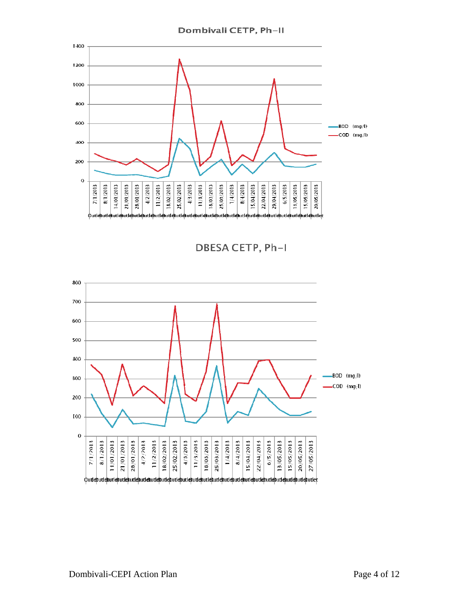



**DBESA CETP, Ph-I** 

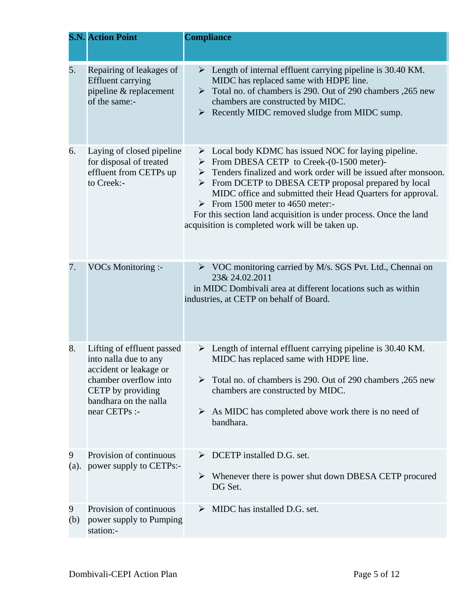|           | <b>S.N. Action Point</b>                                                                                                                                              | <b>Compliance</b>                                                                                                                                                                                                                                                                                                                                                                                                                                                                                                                       |
|-----------|-----------------------------------------------------------------------------------------------------------------------------------------------------------------------|-----------------------------------------------------------------------------------------------------------------------------------------------------------------------------------------------------------------------------------------------------------------------------------------------------------------------------------------------------------------------------------------------------------------------------------------------------------------------------------------------------------------------------------------|
| 5.        | Repairing of leakages of<br><b>Effluent carrying</b><br>pipeline & replacement<br>of the same:-                                                                       | Length of internal effluent carrying pipeline is 30.40 KM.<br>➤<br>MIDC has replaced same with HDPE line.<br>Total no. of chambers is 290. Out of 290 chambers, 265 new<br>$\blacktriangleright$<br>chambers are constructed by MIDC.<br>Recently MIDC removed sludge from MIDC sump.<br>➤                                                                                                                                                                                                                                              |
| 6.        | Laying of closed pipeline<br>for disposal of treated<br>effluent from CETPs up<br>to Creek:-                                                                          | $\triangleright$ Local body KDMC has issued NOC for laying pipeline.<br>$\triangleright$ From DBESA CETP to Creek-(0-1500 meter)-<br>$\triangleright$ Tenders finalized and work order will be issued after monsoon.<br>$\triangleright$ From DCETP to DBESA CETP proposal prepared by local<br>MIDC office and submitted their Head Quarters for approval.<br>$\triangleright$ From 1500 meter to 4650 meter:-<br>For this section land acquisition is under process. Once the land<br>acquisition is completed work will be taken up. |
| 7.        | <b>VOCs Monitoring :-</b>                                                                                                                                             | $\triangleright$ VOC monitoring carried by M/s. SGS Pvt. Ltd., Chennai on<br>23& 24.02.2011<br>in MIDC Dombivali area at different locations such as within<br>industries, at CETP on behalf of Board.                                                                                                                                                                                                                                                                                                                                  |
| 8.        | Lifting of effluent passed<br>into nalla due to any<br>accident or leakage or<br>chamber overflow into<br>CETP by providing<br>bandhara on the nalla<br>near CETPs :- | $\triangleright$ Length of internal effluent carrying pipeline is 30.40 KM.<br>MIDC has replaced same with HDPE line.<br>Total no. of chambers is 290. Out of 290 chambers, 265 new<br>chambers are constructed by MIDC.<br>As MIDC has completed above work there is no need of<br>➤<br>bandhara.                                                                                                                                                                                                                                      |
| 9<br>(a). | Provision of continuous<br>power supply to CETPs:-                                                                                                                    | DCETP installed D.G. set.<br>Whenever there is power shut down DBESA CETP procured<br>➤<br>DG Set.                                                                                                                                                                                                                                                                                                                                                                                                                                      |
| 9<br>(b)  | Provision of continuous<br>power supply to Pumping<br>station:-                                                                                                       | MIDC has installed D.G. set.                                                                                                                                                                                                                                                                                                                                                                                                                                                                                                            |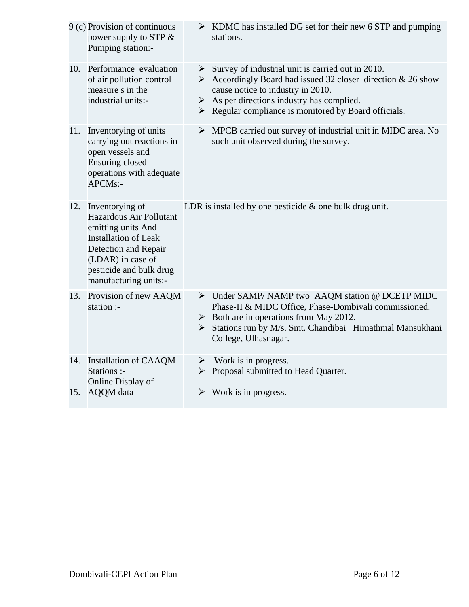|     | 9 (c) Provision of continuous<br>power supply to STP &<br>Pumping station:-                                                                                                                      | $\triangleright$ KDMC has installed DG set for their new 6 STP and pumping<br>stations.                                                                                                                                                                                                   |
|-----|--------------------------------------------------------------------------------------------------------------------------------------------------------------------------------------------------|-------------------------------------------------------------------------------------------------------------------------------------------------------------------------------------------------------------------------------------------------------------------------------------------|
|     | 10. Performance evaluation<br>of air pollution control<br>measure s in the<br>industrial units:-                                                                                                 | Survey of industrial unit is carried out in 2010.<br>Accordingly Board had issued 32 closer direction & 26 show<br>cause notice to industry in 2010.<br>$\triangleright$ As per directions industry has complied.<br>$\triangleright$ Regular compliance is monitored by Board officials. |
| 11. | Inventorying of units<br>carrying out reactions in<br>open vessels and<br><b>Ensuring closed</b><br>operations with adequate<br>APCMs:-                                                          | $\triangleright$ MPCB carried out survey of industrial unit in MIDC area. No<br>such unit observed during the survey.                                                                                                                                                                     |
| 12. | Inventorying of<br>Hazardous Air Pollutant<br>emitting units And<br><b>Installation of Leak</b><br>Detection and Repair<br>(LDAR) in case of<br>pesticide and bulk drug<br>manufacturing units:- | LDR is installed by one pesticide $\&$ one bulk drug unit.                                                                                                                                                                                                                                |
| 13. | Provision of new AAQM<br>station :-                                                                                                                                                              | > Under SAMP/NAMP two AAQM station @ DCETP MIDC<br>Phase-II & MIDC Office, Phase-Dombivali commissioned.<br>$\triangleright$ Both are in operations from May 2012.<br>> Stations run by M/s. Smt. Chandibai Himathmal Mansukhani<br>College, Ulhasnagar.                                  |
| 14. | <b>Installation of CAAQM</b><br>Stations :-<br>Online Display of<br>15. AQQM data                                                                                                                | $\triangleright$ Work is in progress.<br>> Proposal submitted to Head Quarter.<br>$\triangleright$ Work is in progress.                                                                                                                                                                   |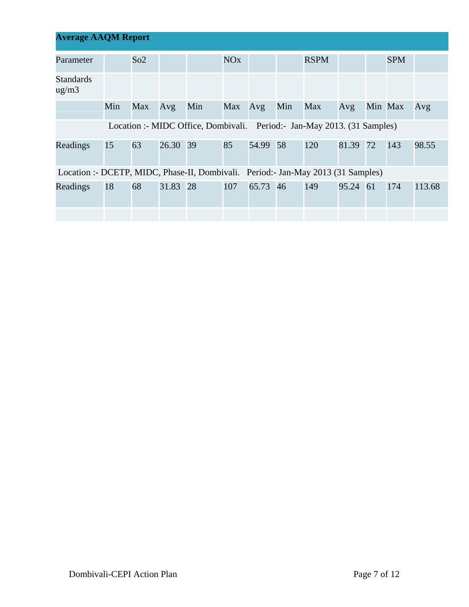| <b>Average AAQM Report</b>                                                       |     |     |          |                                                                         |                       |          |              |             |          |         |            |        |
|----------------------------------------------------------------------------------|-----|-----|----------|-------------------------------------------------------------------------|-----------------------|----------|--------------|-------------|----------|---------|------------|--------|
| Parameter                                                                        |     | So2 |          |                                                                         | <b>NO<sub>x</sub></b> |          |              | <b>RSPM</b> |          |         | <b>SPM</b> |        |
| <b>Standards</b><br>$\mu$ g/m $\lambda$                                          |     |     |          |                                                                         |                       |          |              |             |          |         |            |        |
|                                                                                  | Min | Max | Avg      | Min                                                                     | Max Avg               |          | Min          | Max         | Avg      | Min Max |            | Avg    |
|                                                                                  |     |     |          | Location :- MIDC Office, Dombivali. Period:- Jan-May 2013. (31 Samples) |                       |          |              |             |          |         |            |        |
| Readings                                                                         | 15  | 63  | 26.30 39 |                                                                         | 85                    | 54.99 58 |              | 120         | 81.39 72 |         | 143        | 98.55  |
| Location :- DCETP, MIDC, Phase-II, Dombivali. Period:- Jan-May 2013 (31 Samples) |     |     |          |                                                                         |                       |          |              |             |          |         |            |        |
| Readings                                                                         | 18  | 68  | 31.83 28 |                                                                         | 107                   |          | 65.73 46 149 |             | 95.24 61 |         | 174        | 113.68 |
|                                                                                  |     |     |          |                                                                         |                       |          |              |             |          |         |            |        |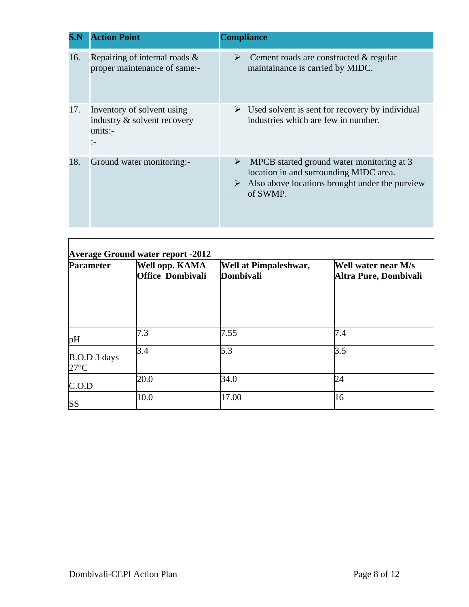| S.N | <b>Action Point</b>                                                                 | <b>Compliance</b>                                                                                                                                                       |
|-----|-------------------------------------------------------------------------------------|-------------------------------------------------------------------------------------------------------------------------------------------------------------------------|
| 16. | Repairing of internal roads $\&$<br>proper maintenance of same:-                    | Cement roads are constructed & regular<br>➤<br>maintainance is carried by MIDC.                                                                                         |
| 17. | Inventory of solvent using<br>industry & solvent recovery<br>units:<br>$\mathbf{I}$ | Used solvent is sent for recovery by individual<br>➤<br>industries which are few in number.                                                                             |
| 18. | Ground water monitoring:-                                                           | MPCB started ground water monitoring at 3<br>➤<br>location in and surrounding MIDC area.<br>$\triangleright$ Also above locations brought under the purview<br>of SWMP. |

| <b>Parameter</b>               | Well opp. KAMA<br><b>Office Dombivali</b> | <b>Well at Pimpaleshwar,</b><br>Dombivali | Well water near M/s<br>Altra Pure, Dombivali |
|--------------------------------|-------------------------------------------|-------------------------------------------|----------------------------------------------|
| pH                             | 7.3                                       | 7.55                                      | 7.4                                          |
| B.O.D 3 days<br>$27^{\circ}$ C | 3.4                                       | 5.3                                       | 3.5                                          |
| C.O.D                          | 20.0                                      | 34.0                                      | 24                                           |
| <b>SS</b>                      | 10.0                                      | 17.00                                     | 16                                           |

 $\overline{1}$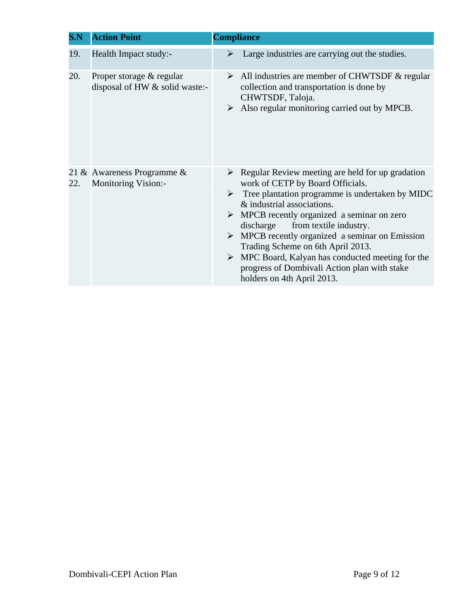| S.N | <b>Action Point</b>                                        | <b>Compliance</b>                                                                                                                                                                                                                                                                                                                                                                                                                                                                                                                                                        |
|-----|------------------------------------------------------------|--------------------------------------------------------------------------------------------------------------------------------------------------------------------------------------------------------------------------------------------------------------------------------------------------------------------------------------------------------------------------------------------------------------------------------------------------------------------------------------------------------------------------------------------------------------------------|
| 19. | Health Impact study:-                                      | Large industries are carrying out the studies.<br>➤                                                                                                                                                                                                                                                                                                                                                                                                                                                                                                                      |
| 20. | Proper storage & regular<br>disposal of HW & solid waste:- | $\triangleright$ All industries are member of CHWTSDF & regular<br>collection and transportation is done by<br>CHWTSDF, Taloja.<br>$\triangleright$ Also regular monitoring carried out by MPCB.                                                                                                                                                                                                                                                                                                                                                                         |
| 22. | 21 & Awareness Programme &<br><b>Monitoring Vision:-</b>   | $\triangleright$ Regular Review meeting are held for up gradation<br>work of CETP by Board Officials.<br>Tree plantation programme is undertaken by MIDC<br>$\triangleright$<br>& industrial associations.<br>$\triangleright$ MPCB recently organized a seminar on zero<br>discharge<br>from textile industry.<br>$\triangleright$ MPCB recently organized a seminar on Emission<br>Trading Scheme on 6th April 2013.<br>$\triangleright$ MPC Board, Kalyan has conducted meeting for the<br>progress of Dombivali Action plan with stake<br>holders on 4th April 2013. |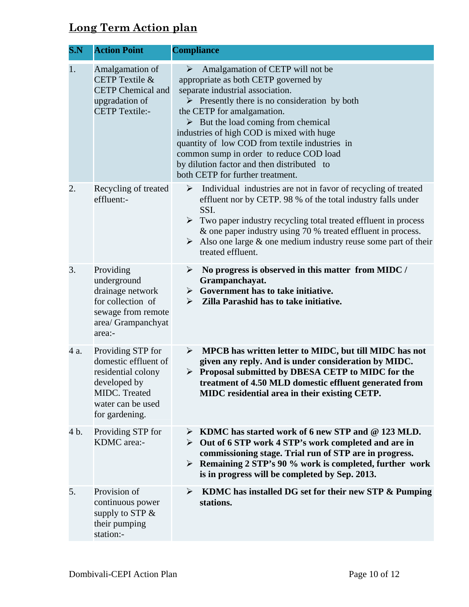## **Long Term Action plan**

| S.N  | <b>Action Point</b>                                                                                                                     | <b>Compliance</b>                                                                                                                                                                                                                                                                                                                                                                                                                                                                                 |
|------|-----------------------------------------------------------------------------------------------------------------------------------------|---------------------------------------------------------------------------------------------------------------------------------------------------------------------------------------------------------------------------------------------------------------------------------------------------------------------------------------------------------------------------------------------------------------------------------------------------------------------------------------------------|
| 1.   | Amalgamation of<br>CETP Textile &<br><b>CETP</b> Chemical and<br>upgradation of<br><b>CETP</b> Textile:-                                | Amalgamation of CETP will not be<br>➤<br>appropriate as both CETP governed by<br>separate industrial association.<br>$\triangleright$ Presently there is no consideration by both<br>the CETP for amalgamation.<br>$\triangleright$ But the load coming from chemical<br>industries of high COD is mixed with huge<br>quantity of low COD from textile industries in<br>common sump in order to reduce COD load<br>by dilution factor and then distributed to<br>both CETP for further treatment. |
| 2.   | Recycling of treated<br>effluent:-                                                                                                      | $\blacktriangleright$<br>Individual industries are not in favor of recycling of treated<br>effluent nor by CETP. 98 % of the total industry falls under<br>SSI.<br>Two paper industry recycling total treated effluent in process<br>➤<br>& one paper industry using 70 % treated effluent in process.<br>Also one large $\&$ one medium industry reuse some part of their<br>≻<br>treated effluent.                                                                                              |
| 3.   | Providing<br>underground<br>drainage network<br>for collection of<br>sewage from remote<br>area/ Grampanchyat<br>area:-                 | No progress is observed in this matter from MIDC /<br>➤<br>Grampanchayat.<br>$\triangleright$ Government has to take initiative.<br>Zilla Parashid has to take initiative.<br>➤                                                                                                                                                                                                                                                                                                                   |
| 4 a. | Providing STP for<br>domestic effluent of<br>residential colony<br>developed by<br>MIDC. Treated<br>water can be used<br>for gardening. | $\triangleright$ MPCB has written letter to MIDC, but till MIDC has not<br>given any reply. And is under consideration by MIDC.<br>> Proposal submitted by DBESA CETP to MIDC for the<br>treatment of 4.50 MLD domestic effluent generated from<br>MIDC residential area in their existing CETP.                                                                                                                                                                                                  |
| 4 b. | Providing STP for<br>KDMC area:-                                                                                                        | KDMC has started work of 6 new STP and @ 123 MLD.<br>➤<br>Out of 6 STP work 4 STP's work completed and are in<br>➤<br>commissioning stage. Trial run of STP are in progress.<br>Example 2 STP's 90 % work is completed, further work<br>is in progress will be completed by Sep. 2013.                                                                                                                                                                                                            |
| 5.   | Provision of<br>continuous power<br>supply to STP $&$<br>their pumping<br>station:-                                                     | KDMC has installed DG set for their new STP & Pumping<br>$\blacktriangleright$<br>stations.                                                                                                                                                                                                                                                                                                                                                                                                       |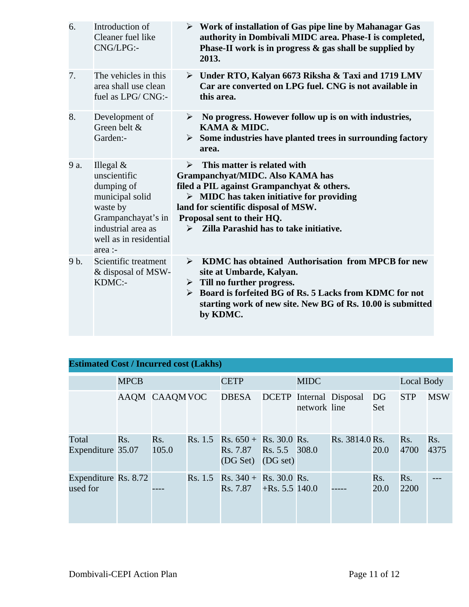| 6.   | Introduction of<br>Cleaner fuel like<br>CNG/LPG:-                                                                                                         | $\triangleright$ Work of installation of Gas pipe line by Mahanagar Gas<br>authority in Dombivali MIDC area. Phase-I is completed,<br>Phase-II work is in progress $\&$ gas shall be supplied by<br>2013.                                                                                           |
|------|-----------------------------------------------------------------------------------------------------------------------------------------------------------|-----------------------------------------------------------------------------------------------------------------------------------------------------------------------------------------------------------------------------------------------------------------------------------------------------|
| 7.   | The vehicles in this<br>area shall use clean<br>fuel as LPG/CNG:-                                                                                         | $\triangleright$ Under RTO, Kalyan 6673 Riksha & Taxi and 1719 LMV<br>Car are converted on LPG fuel. CNG is not available in<br>this area.                                                                                                                                                          |
| 8.   | Development of<br>Green belt &<br>Garden:-                                                                                                                | No progress. However follow up is on with industries,<br>➤<br>KAMA & MIDC.<br>$\triangleright$ Some industries have planted trees in surrounding factory<br>area.                                                                                                                                   |
| 9 a. | Illegal $&$<br>unscientific<br>dumping of<br>municipal solid<br>waste by<br>Grampanchayat's in<br>industrial area as<br>well as in residential<br>area :- | This matter is related with<br>➤<br>Grampanchyat/MIDC. Also KAMA has<br>filed a PIL against Grampanchyat & others.<br>$\triangleright$ MIDC has taken initiative for providing<br>land for scientific disposal of MSW.<br>Proposal sent to their HQ.<br>Zilla Parashid has to take initiative.<br>➤ |
| 9 b. | Scientific treatment<br>& disposal of MSW-<br>KDMC:-                                                                                                      | KDMC has obtained Authorisation from MPCB for new<br>$\blacktriangleright$<br>site at Umbarde, Kalyan.<br>$\triangleright$ Till no further progress.<br>Board is forfeited BG of Rs. 5 Lacks from KDMC for not<br>➤<br>starting work of new site. New BG of Rs. 10.00 is submitted<br>by KDMC.      |

| <b>Estimated Cost / Incurred cost (Lakhs)</b> |             |               |  |                                                                        |                   |                                                |                |             |             |             |  |
|-----------------------------------------------|-------------|---------------|--|------------------------------------------------------------------------|-------------------|------------------------------------------------|----------------|-------------|-------------|-------------|--|
|                                               | <b>MPCB</b> |               |  | <b>MIDC</b><br><b>CETP</b>                                             |                   |                                                | Local Body     |             |             |             |  |
|                                               |             | AAQM CAAQMVOC |  | <b>DBESA</b>                                                           |                   | <b>DCETP</b> Internal Disposal<br>network line |                | DG<br>Set   | <b>STP</b>  | <b>MSW</b>  |  |
| Total<br>Expenditure 35.07                    | Rs.         | Rs.<br>105.0  |  | Rs. 1.5 Rs. $650 +$ Rs. 30.0 Rs.<br>Rs. 7.87 Rs. 5.5 308.0<br>(DG Set) | (DG set)          |                                                | Rs. 3814.0 Rs. | 20.0        | Rs.<br>4700 | Rs.<br>4375 |  |
| Expenditure Rs. 8.72<br>used for              |             |               |  | Rs. 1.5 Rs. $340 +$ Rs. 30.0 Rs.<br>Rs. 7.87                           | $+$ Rs. 5.5 140.0 |                                                |                | Rs.<br>20.0 | Rs.<br>2200 |             |  |